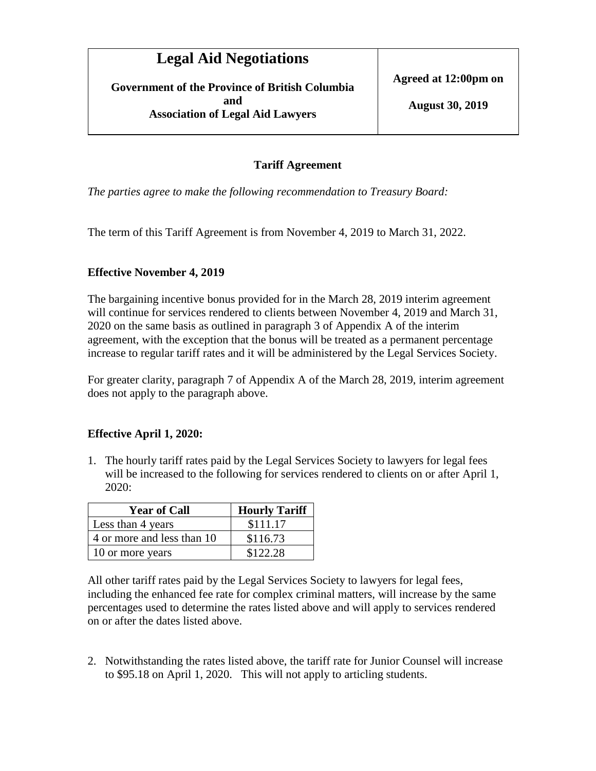**Government of the Province of British Columbia and Association of Legal Aid Lawyers**

**Agreed at 12:00pm on**

#### **Tariff Agreement**

*The parties agree to make the following recommendation to Treasury Board:* 

The term of this Tariff Agreement is from November 4, 2019 to March 31, 2022.

#### **Effective November 4, 2019**

The bargaining incentive bonus provided for in the March 28, 2019 interim agreement will continue for services rendered to clients between November 4, 2019 and March 31, 2020 on the same basis as outlined in paragraph 3 of Appendix A of the interim agreement, with the exception that the bonus will be treated as a permanent percentage increase to regular tariff rates and it will be administered by the Legal Services Society.

For greater clarity, paragraph 7 of Appendix A of the March 28, 2019, interim agreement does not apply to the paragraph above.

#### **Effective April 1, 2020:**

1. The hourly tariff rates paid by the Legal Services Society to lawyers for legal fees will be increased to the following for services rendered to clients on or after April 1, 2020:

| <b>Year of Call</b>        | <b>Hourly Tariff</b> |
|----------------------------|----------------------|
| Less than 4 years          | \$111.17             |
| 4 or more and less than 10 | \$116.73             |
| 10 or more years           | \$122.28             |

All other tariff rates paid by the Legal Services Society to lawyers for legal fees, including the enhanced fee rate for complex criminal matters, will increase by the same percentages used to determine the rates listed above and will apply to services rendered on or after the dates listed above.

2. Notwithstanding the rates listed above, the tariff rate for Junior Counsel will increase to \$95.18 on April 1, 2020. This will not apply to articling students.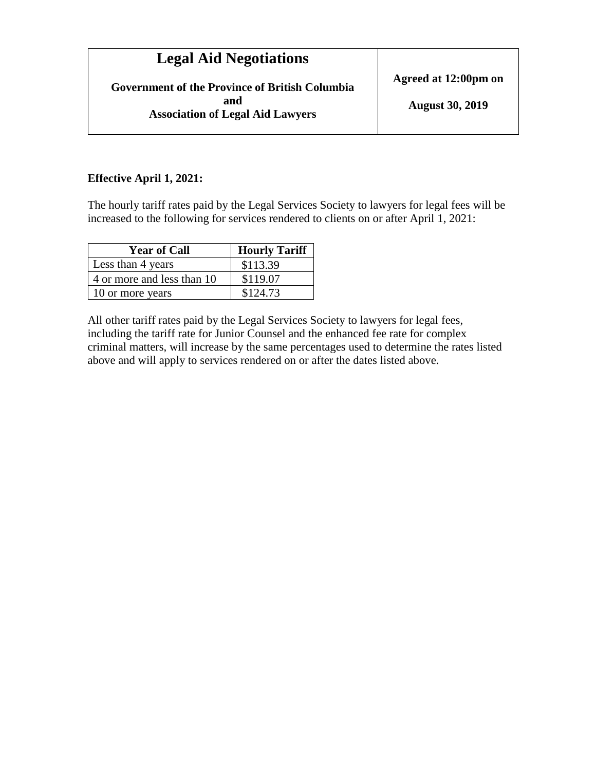| <b>Legal Aid Negotiations</b>                                                                           |                                                |
|---------------------------------------------------------------------------------------------------------|------------------------------------------------|
| <b>Government of the Province of British Columbia</b><br>and<br><b>Association of Legal Aid Lawyers</b> | Agreed at 12:00pm on<br><b>August 30, 2019</b> |
|                                                                                                         |                                                |

#### **Effective April 1, 2021:**

The hourly tariff rates paid by the Legal Services Society to lawyers for legal fees will be increased to the following for services rendered to clients on or after April 1, 2021:

| <b>Year of Call</b>        | <b>Hourly Tariff</b> |
|----------------------------|----------------------|
| Less than 4 years          | \$113.39             |
| 4 or more and less than 10 | \$119.07             |
| 10 or more years           | \$124.73             |

All other tariff rates paid by the Legal Services Society to lawyers for legal fees, including the tariff rate for Junior Counsel and the enhanced fee rate for complex criminal matters, will increase by the same percentages used to determine the rates listed above and will apply to services rendered on or after the dates listed above.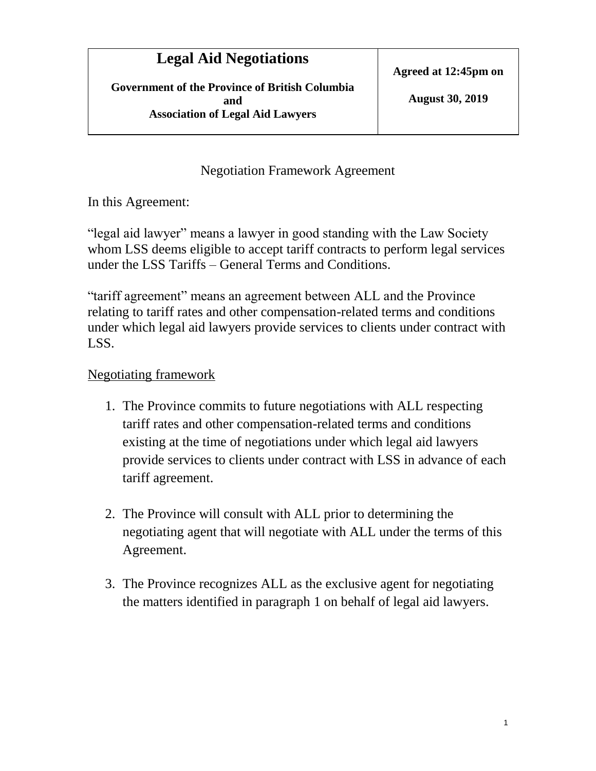**Government of the Province of British Columbia and Association of Legal Aid Lawyers**

#### Negotiation Framework Agreement

In this Agreement:

"legal aid lawyer" means a lawyer in good standing with the Law Society whom LSS deems eligible to accept tariff contracts to perform legal services under the LSS Tariffs – General Terms and Conditions.

"tariff agreement" means an agreement between ALL and the Province relating to tariff rates and other compensation-related terms and conditions under which legal aid lawyers provide services to clients under contract with LSS.

## Negotiating framework

- 1. The Province commits to future negotiations with ALL respecting tariff rates and other compensation-related terms and conditions existing at the time of negotiations under which legal aid lawyers provide services to clients under contract with LSS in advance of each tariff agreement.
- 2. The Province will consult with ALL prior to determining the negotiating agent that will negotiate with ALL under the terms of this Agreement.
- 3. The Province recognizes ALL as the exclusive agent for negotiating the matters identified in paragraph 1 on behalf of legal aid lawyers.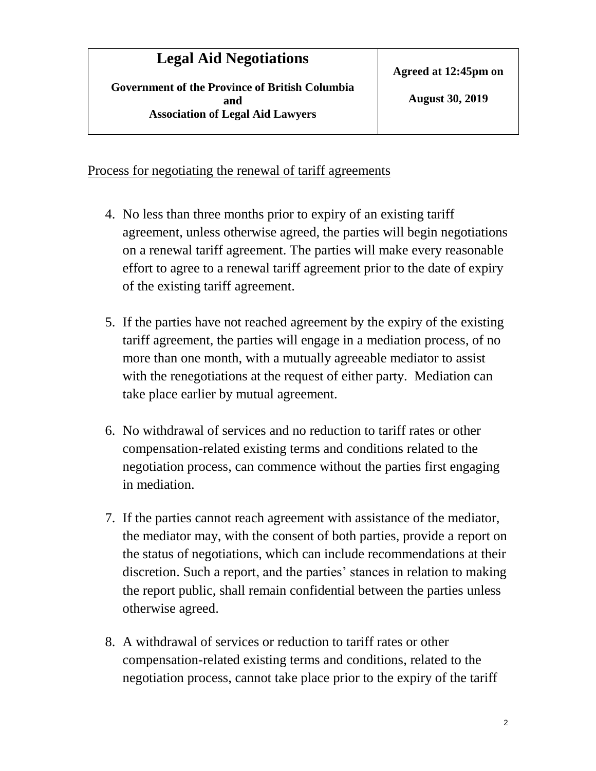### Process for negotiating the renewal of tariff agreements

- 4. No less than three months prior to expiry of an existing tariff agreement, unless otherwise agreed, the parties will begin negotiations on a renewal tariff agreement. The parties will make every reasonable effort to agree to a renewal tariff agreement prior to the date of expiry of the existing tariff agreement.
- 5. If the parties have not reached agreement by the expiry of the existing tariff agreement, the parties will engage in a mediation process, of no more than one month, with a mutually agreeable mediator to assist with the renegotiations at the request of either party. Mediation can take place earlier by mutual agreement.
- 6. No withdrawal of services and no reduction to tariff rates or other compensation-related existing terms and conditions related to the negotiation process, can commence without the parties first engaging in mediation.
- 7. If the parties cannot reach agreement with assistance of the mediator, the mediator may, with the consent of both parties, provide a report on the status of negotiations, which can include recommendations at their discretion. Such a report, and the parties' stances in relation to making the report public, shall remain confidential between the parties unless otherwise agreed.
- 8. A withdrawal of services or reduction to tariff rates or other compensation-related existing terms and conditions, related to the negotiation process, cannot take place prior to the expiry of the tariff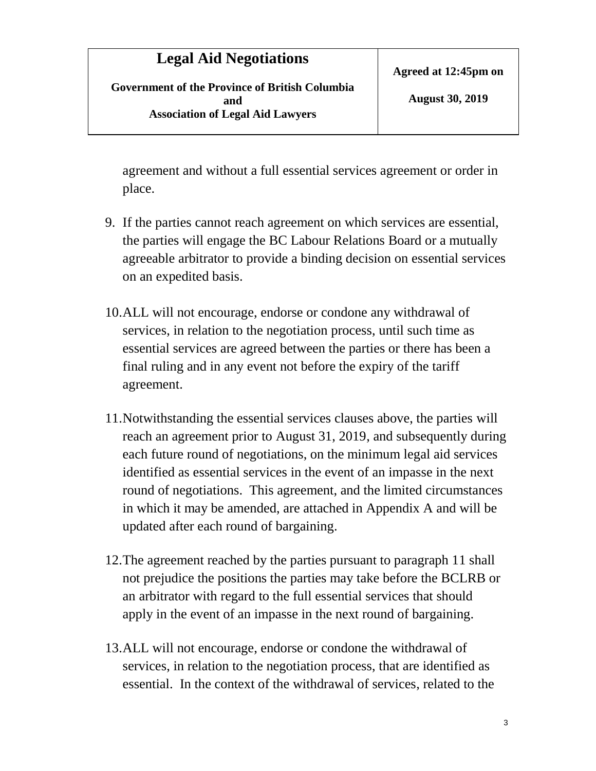**Government of the Province of British Columbia and Association of Legal Aid Lawyers**

agreement and without a full essential services agreement or order in place.

- 9. If the parties cannot reach agreement on which services are essential, the parties will engage the BC Labour Relations Board or a mutually agreeable arbitrator to provide a binding decision on essential services on an expedited basis.
- 10.ALL will not encourage, endorse or condone any withdrawal of services, in relation to the negotiation process, until such time as essential services are agreed between the parties or there has been a final ruling and in any event not before the expiry of the tariff agreement.
- 11.Notwithstanding the essential services clauses above, the parties will reach an agreement prior to August 31, 2019, and subsequently during each future round of negotiations, on the minimum legal aid services identified as essential services in the event of an impasse in the next round of negotiations. This agreement, and the limited circumstances in which it may be amended, are attached in Appendix A and will be updated after each round of bargaining.
- 12.The agreement reached by the parties pursuant to paragraph 11 shall not prejudice the positions the parties may take before the BCLRB or an arbitrator with regard to the full essential services that should apply in the event of an impasse in the next round of bargaining.
- 13.ALL will not encourage, endorse or condone the withdrawal of services, in relation to the negotiation process, that are identified as essential. In the context of the withdrawal of services, related to the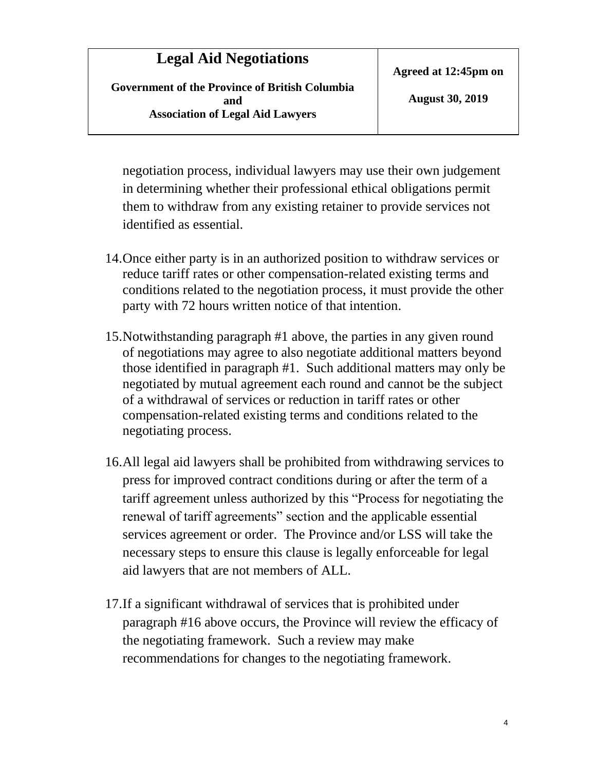**Government of the Province of British Columbia and Association of Legal Aid Lawyers**

**Agreed at 12:45pm on**

**August 30, 2019**

negotiation process, individual lawyers may use their own judgement in determining whether their professional ethical obligations permit them to withdraw from any existing retainer to provide services not identified as essential.

- 14.Once either party is in an authorized position to withdraw services or reduce tariff rates or other compensation-related existing terms and conditions related to the negotiation process, it must provide the other party with 72 hours written notice of that intention.
- 15.Notwithstanding paragraph #1 above, the parties in any given round of negotiations may agree to also negotiate additional matters beyond those identified in paragraph #1. Such additional matters may only be negotiated by mutual agreement each round and cannot be the subject of a withdrawal of services or reduction in tariff rates or other compensation-related existing terms and conditions related to the negotiating process.
- 16.All legal aid lawyers shall be prohibited from withdrawing services to press for improved contract conditions during or after the term of a tariff agreement unless authorized by this "Process for negotiating the renewal of tariff agreements" section and the applicable essential services agreement or order. The Province and/or LSS will take the necessary steps to ensure this clause is legally enforceable for legal aid lawyers that are not members of ALL.
- 17.If a significant withdrawal of services that is prohibited under paragraph #16 above occurs, the Province will review the efficacy of the negotiating framework. Such a review may make recommendations for changes to the negotiating framework.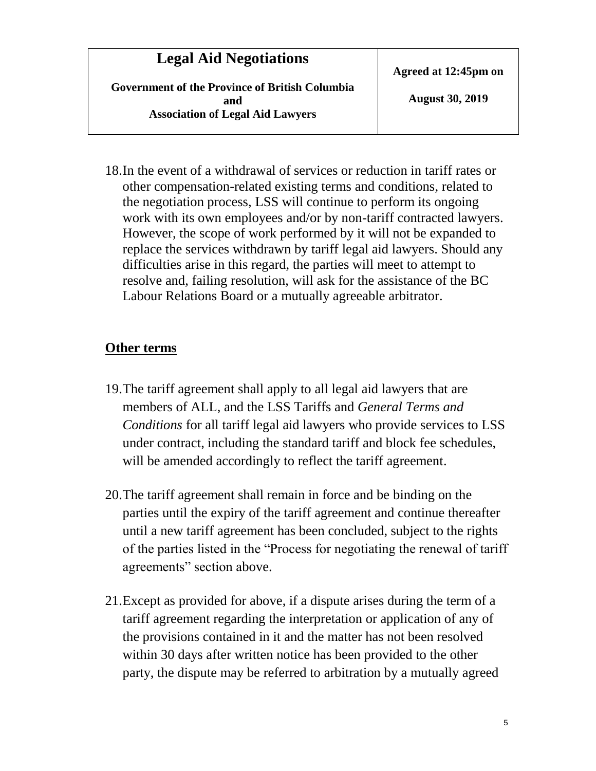**Government of the Province of British Columbia and Association of Legal Aid Lawyers**

**Agreed at 12:45pm on**

**August 30, 2019**

18.In the event of a withdrawal of services or reduction in tariff rates or other compensation-related existing terms and conditions, related to the negotiation process, LSS will continue to perform its ongoing work with its own employees and/or by non-tariff contracted lawyers. However, the scope of work performed by it will not be expanded to replace the services withdrawn by tariff legal aid lawyers. Should any difficulties arise in this regard, the parties will meet to attempt to resolve and, failing resolution, will ask for the assistance of the BC Labour Relations Board or a mutually agreeable arbitrator.

#### **Other terms**

- 19.The tariff agreement shall apply to all legal aid lawyers that are members of ALL, and the LSS Tariffs and *General Terms and Conditions* for all tariff legal aid lawyers who provide services to LSS under contract, including the standard tariff and block fee schedules, will be amended accordingly to reflect the tariff agreement.
- 20.The tariff agreement shall remain in force and be binding on the parties until the expiry of the tariff agreement and continue thereafter until a new tariff agreement has been concluded, subject to the rights of the parties listed in the "Process for negotiating the renewal of tariff agreements" section above.
- 21.Except as provided for above, if a dispute arises during the term of a tariff agreement regarding the interpretation or application of any of the provisions contained in it and the matter has not been resolved within 30 days after written notice has been provided to the other party, the dispute may be referred to arbitration by a mutually agreed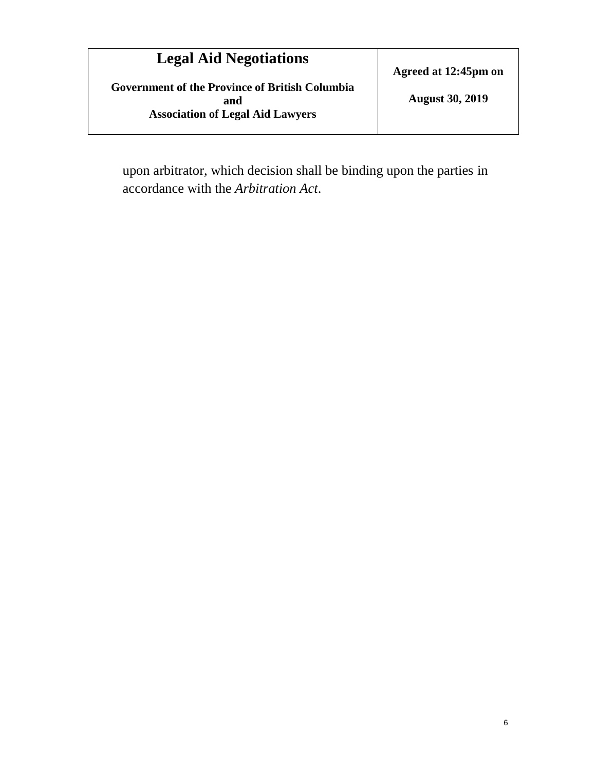**Government of the Province of British Columbia and Association of Legal Aid Lawyers**

**Agreed at 12:45pm on**

**August 30, 2019**

upon arbitrator, which decision shall be binding upon the parties in accordance with the *Arbitration Act*.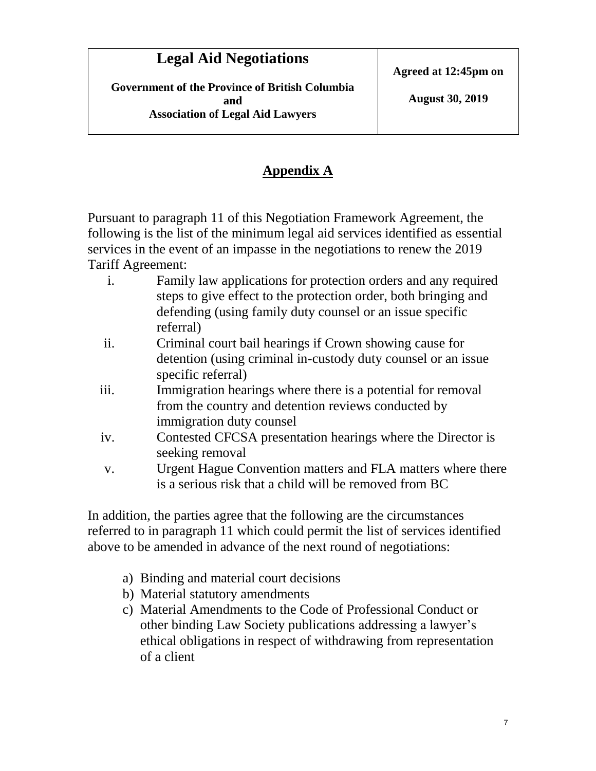## **Appendix A**

Pursuant to paragraph 11 of this Negotiation Framework Agreement, the following is the list of the minimum legal aid services identified as essential services in the event of an impasse in the negotiations to renew the 2019 Tariff Agreement:

- i. Family law applications for protection orders and any required steps to give effect to the protection order, both bringing and defending (using family duty counsel or an issue specific referral)
- ii. Criminal court bail hearings if Crown showing cause for detention (using criminal in-custody duty counsel or an issue specific referral)
- iii. Immigration hearings where there is a potential for removal from the country and detention reviews conducted by immigration duty counsel
- iv. Contested CFCSA presentation hearings where the Director is seeking removal
- v. Urgent Hague Convention matters and FLA matters where there is a serious risk that a child will be removed from BC

In addition, the parties agree that the following are the circumstances referred to in paragraph 11 which could permit the list of services identified above to be amended in advance of the next round of negotiations:

- a) Binding and material court decisions
- b) Material statutory amendments
- c) Material Amendments to the Code of Professional Conduct or other binding Law Society publications addressing a lawyer's ethical obligations in respect of withdrawing from representation of a client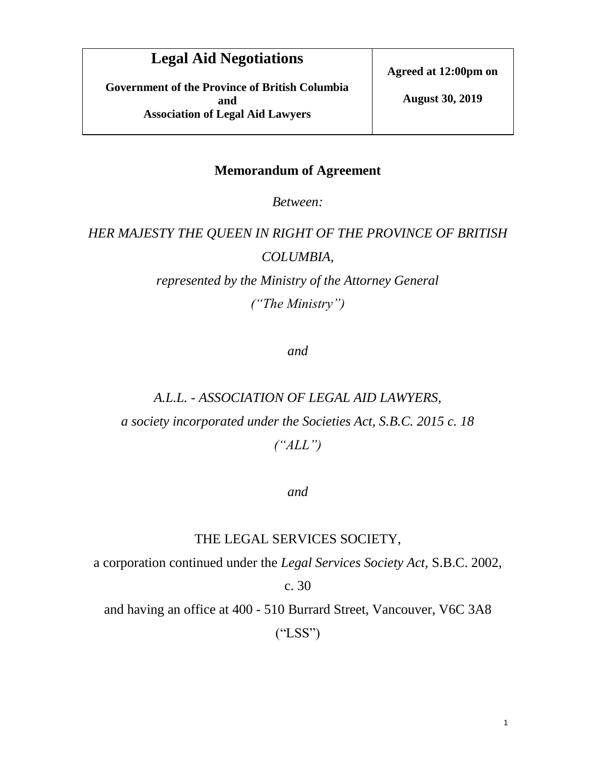**Government of the Province of British Columbia and Association of Legal Aid Lawyers**

**Agreed at 12:00pm on**

**August 30, 2019**

#### **Memorandum of Agreement**

*Between:* 

# *HER MAJESTY THE QUEEN IN RIGHT OF THE PROVINCE OF BRITISH COLUMBIA,*

*represented by the Ministry of the Attorney General ("The Ministry")*

*and*

# *A.L.L. - ASSOCIATION OF LEGAL AID LAWYERS, a society incorporated under the Societies Act, S.B.C. 2015 c. 18 ("ALL")*

#### *and*

#### THE LEGAL SERVICES SOCIETY,

a corporation continued under the *Legal Services Society Act,* S.B.C. 2002,

c. 30

and having an office at 400 - 510 Burrard Street, Vancouver, V6C 3A8 ("LSS")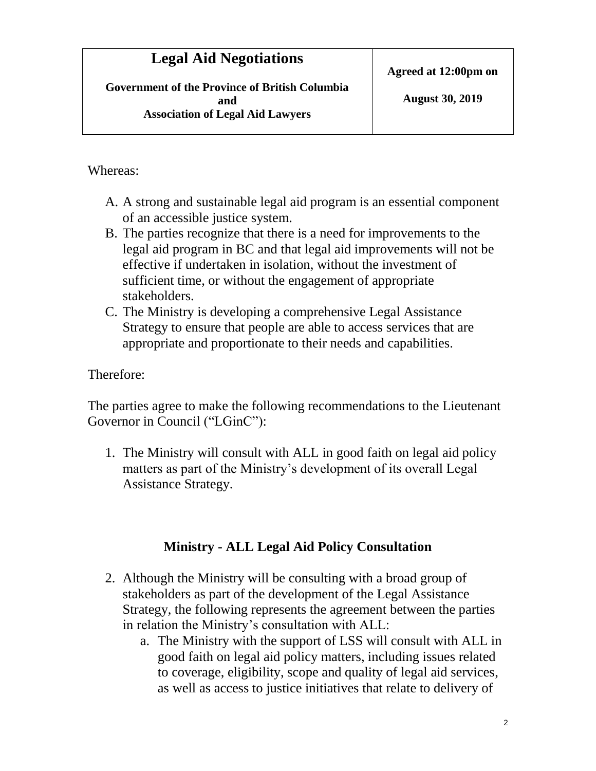Whereas:

- A. A strong and sustainable legal aid program is an essential component of an accessible justice system.
- B. The parties recognize that there is a need for improvements to the legal aid program in BC and that legal aid improvements will not be effective if undertaken in isolation, without the investment of sufficient time, or without the engagement of appropriate stakeholders.
- C. The Ministry is developing a comprehensive Legal Assistance Strategy to ensure that people are able to access services that are appropriate and proportionate to their needs and capabilities.

Therefore:

The parties agree to make the following recommendations to the Lieutenant Governor in Council ("LGinC"):

1. The Ministry will consult with ALL in good faith on legal aid policy matters as part of the Ministry's development of its overall Legal Assistance Strategy.

# **Ministry - ALL Legal Aid Policy Consultation**

- 2. Although the Ministry will be consulting with a broad group of stakeholders as part of the development of the Legal Assistance Strategy, the following represents the agreement between the parties in relation the Ministry's consultation with ALL:
	- a. The Ministry with the support of LSS will consult with ALL in good faith on legal aid policy matters, including issues related to coverage, eligibility, scope and quality of legal aid services, as well as access to justice initiatives that relate to delivery of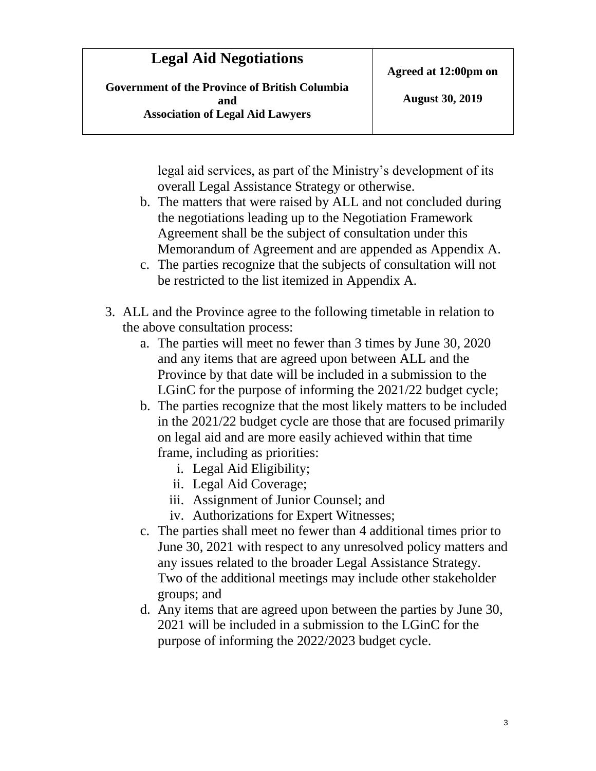**Government of the Province of British Columbia and Association of Legal Aid Lawyers**

legal aid services, as part of the Ministry's development of its overall Legal Assistance Strategy or otherwise.

- b. The matters that were raised by ALL and not concluded during the negotiations leading up to the Negotiation Framework Agreement shall be the subject of consultation under this Memorandum of Agreement and are appended as Appendix A.
- c. The parties recognize that the subjects of consultation will not be restricted to the list itemized in Appendix A.
- 3. ALL and the Province agree to the following timetable in relation to the above consultation process:
	- a. The parties will meet no fewer than 3 times by June 30, 2020 and any items that are agreed upon between ALL and the Province by that date will be included in a submission to the LGinC for the purpose of informing the 2021/22 budget cycle;
	- b. The parties recognize that the most likely matters to be included in the 2021/22 budget cycle are those that are focused primarily on legal aid and are more easily achieved within that time frame, including as priorities:
		- i. Legal Aid Eligibility;
		- ii. Legal Aid Coverage;
		- iii. Assignment of Junior Counsel; and
		- iv. Authorizations for Expert Witnesses;
	- c. The parties shall meet no fewer than 4 additional times prior to June 30, 2021 with respect to any unresolved policy matters and any issues related to the broader Legal Assistance Strategy. Two of the additional meetings may include other stakeholder groups; and
	- d. Any items that are agreed upon between the parties by June 30, 2021 will be included in a submission to the LGinC for the purpose of informing the 2022/2023 budget cycle.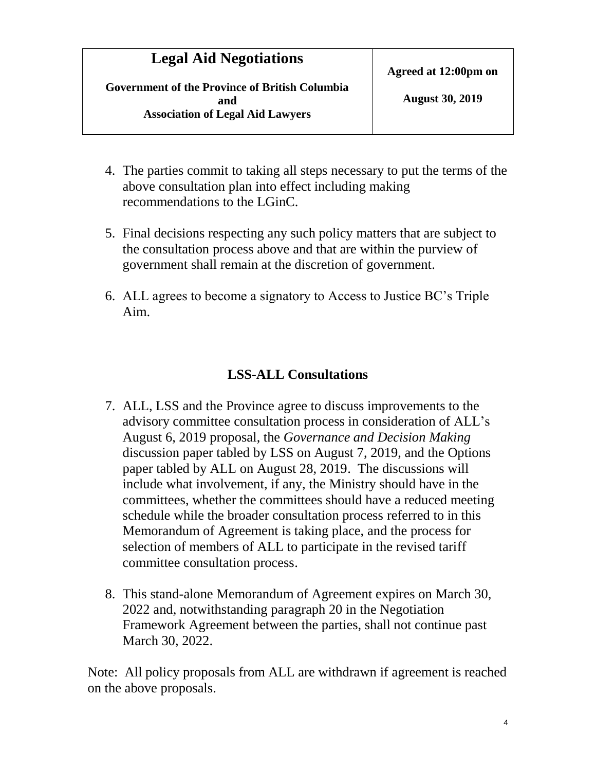**Government of the Province of British Columbia and Association of Legal Aid Lawyers**

- 4. The parties commit to taking all steps necessary to put the terms of the above consultation plan into effect including making recommendations to the LGinC.
- 5. Final decisions respecting any such policy matters that are subject to the consultation process above and that are within the purview of government shall remain at the discretion of government.
- 6. ALL agrees to become a signatory to Access to Justice BC's Triple Aim.

#### **LSS-ALL Consultations**

- 7. ALL, LSS and the Province agree to discuss improvements to the advisory committee consultation process in consideration of ALL's August 6, 2019 proposal, the *Governance and Decision Making* discussion paper tabled by LSS on August 7, 2019, and the Options paper tabled by ALL on August 28, 2019. The discussions will include what involvement, if any, the Ministry should have in the committees, whether the committees should have a reduced meeting schedule while the broader consultation process referred to in this Memorandum of Agreement is taking place, and the process for selection of members of ALL to participate in the revised tariff committee consultation process.
- 8. This stand-alone Memorandum of Agreement expires on March 30, 2022 and, notwithstanding paragraph 20 in the Negotiation Framework Agreement between the parties, shall not continue past March 30, 2022.

Note: All policy proposals from ALL are withdrawn if agreement is reached on the above proposals.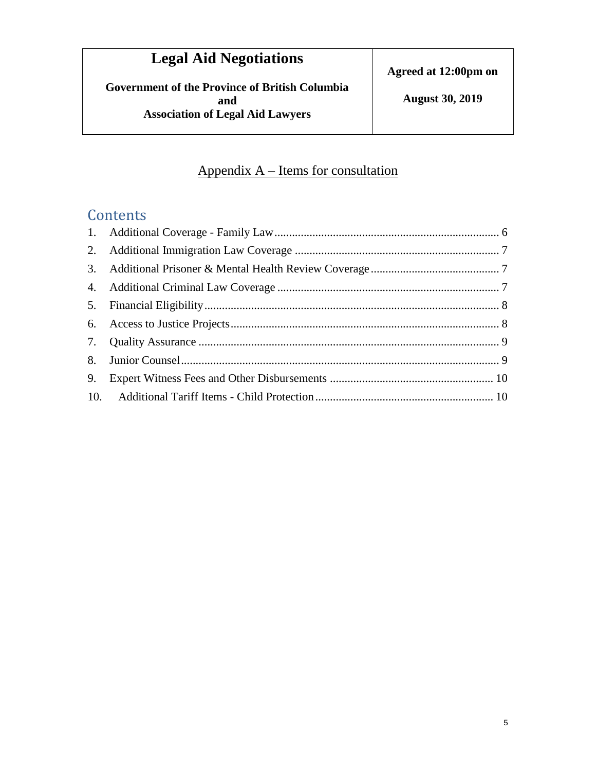**Government of the Province of British Columbia and Association of Legal Aid Lawyers**

# Appendix A – Items for consultation

# **Contents**

| 9. |  |
|----|--|
|    |  |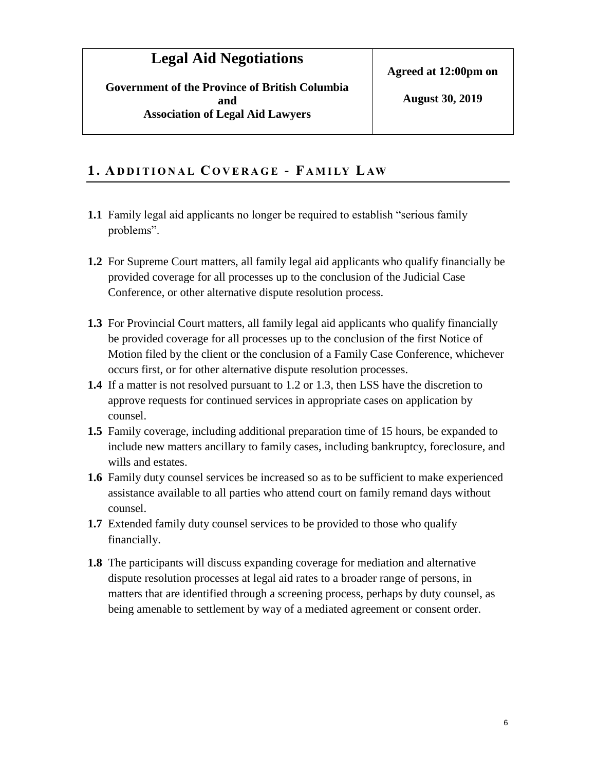<span id="page-14-1"></span>**Government of the Province of British Columbia and Association of Legal Aid Lawyers**

#### <span id="page-14-0"></span>**1 . AD D I T I O N A L C O V E R A G E - F A M I LY L AW**

- **1.1** Family legal aid applicants no longer be required to establish "serious family problems".
- **1.2** For Supreme Court matters, all family legal aid applicants who qualify financially be provided coverage for all processes up to the conclusion of the Judicial Case Conference, or other alternative dispute resolution process.
- **1.3** For Provincial Court matters, all family legal aid applicants who qualify financially be provided coverage for all processes up to the conclusion of the first Notice of Motion filed by the client or the conclusion of a Family Case Conference, whichever occurs first, or for other alternative dispute resolution processes.
- **1.4** If a matter is not resolved pursuant to 1.2 or 1.3, then LSS have the discretion to approve requests for continued services in appropriate cases on application by counsel.
- **1.5** Family coverage, including additional preparation time of 15 hours, be expanded to include new matters ancillary to family cases, including bankruptcy, foreclosure, and wills and estates.
- **1.6** Family duty counsel services be increased so as to be sufficient to make experienced assistance available to all parties who attend court on family remand days without counsel.
- **1.7** Extended family duty counsel services to be provided to those who qualify financially.
- **1.8** The participants will discuss expanding coverage for mediation and alternative dispute resolution processes at legal aid rates to a broader range of persons, in matters that are identified through a screening process, perhaps by duty counsel, as being amenable to settlement by way of a mediated agreement or consent order.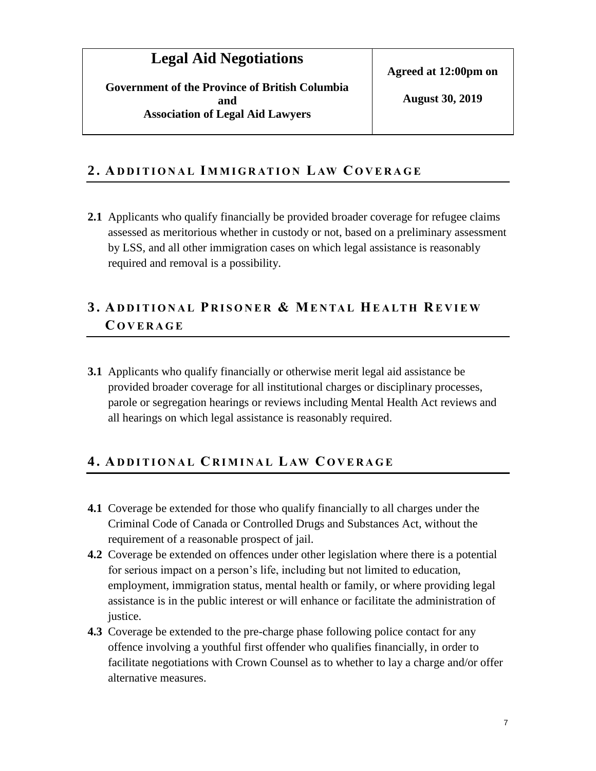#### <span id="page-15-2"></span>**2 . AD D I T I O N A L I M M I G R AT I O N L AW C O V E R A G E**

**2.1** Applicants who qualify financially be provided broader coverage for refugee claims assessed as meritorious whether in custody or not, based on a preliminary assessment by LSS, and all other immigration cases on which legal assistance is reasonably required and removal is a possibility.

## <span id="page-15-0"></span>**3 . AD D I T I O N A L P R I S O N E R & ME N TA L HE A LT H RE V I E W C O V E R A G E**

**3.1** Applicants who qualify financially or otherwise merit legal aid assistance be provided broader coverage for all institutional charges or disciplinary processes, parole or segregation hearings or reviews including Mental Health Act reviews and all hearings on which legal assistance is reasonably required.

## <span id="page-15-1"></span>**4 . AD D I T I O N A L CR I M I N A L L AW C O V E R A G E**

- **4.1** Coverage be extended for those who qualify financially to all charges under the Criminal Code of Canada or Controlled Drugs and Substances Act, without the requirement of a reasonable prospect of jail.
- **4.2** Coverage be extended on offences under other legislation where there is a potential for serious impact on a person's life, including but not limited to education, employment, immigration status, mental health or family, or where providing legal assistance is in the public interest or will enhance or facilitate the administration of justice.
- **4.3** Coverage be extended to the pre-charge phase following police contact for any offence involving a youthful first offender who qualifies financially, in order to facilitate negotiations with Crown Counsel as to whether to lay a charge and/or offer alternative measures.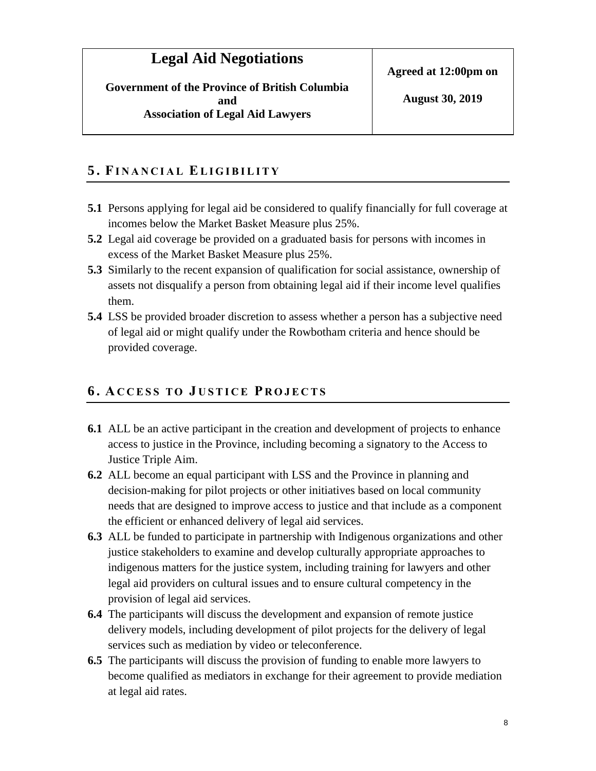#### **5 . FI N A N C I A L EL I G I B I L I T Y**

- **5.1** Persons applying for legal aid be considered to qualify financially for full coverage at incomes below the Market Basket Measure plus 25%.
- **5.2** Legal aid coverage be provided on a graduated basis for persons with incomes in excess of the Market Basket Measure plus 25%.
- **5.3** Similarly to the recent expansion of qualification for social assistance, ownership of assets not disqualify a person from obtaining legal aid if their income level qualifies them.
- **5.4** LSS be provided broader discretion to assess whether a person has a subjective need of legal aid or might qualify under the Rowbotham criteria and hence should be provided coverage.

#### <span id="page-16-0"></span>**6 . AC C E S S T O J U S T I C E P R O J E C T S**

- **6.1** ALL be an active participant in the creation and development of projects to enhance access to justice in the Province, including becoming a signatory to the Access to Justice Triple Aim.
- **6.2** ALL become an equal participant with LSS and the Province in planning and decision-making for pilot projects or other initiatives based on local community needs that are designed to improve access to justice and that include as a component the efficient or enhanced delivery of legal aid services.
- **6.3** ALL be funded to participate in partnership with Indigenous organizations and other justice stakeholders to examine and develop culturally appropriate approaches to indigenous matters for the justice system, including training for lawyers and other legal aid providers on cultural issues and to ensure cultural competency in the provision of legal aid services.
- **6.4** The participants will discuss the development and expansion of remote justice delivery models, including development of pilot projects for the delivery of legal services such as mediation by video or teleconference.
- **6.5** The participants will discuss the provision of funding to enable more lawyers to become qualified as mediators in exchange for their agreement to provide mediation at legal aid rates.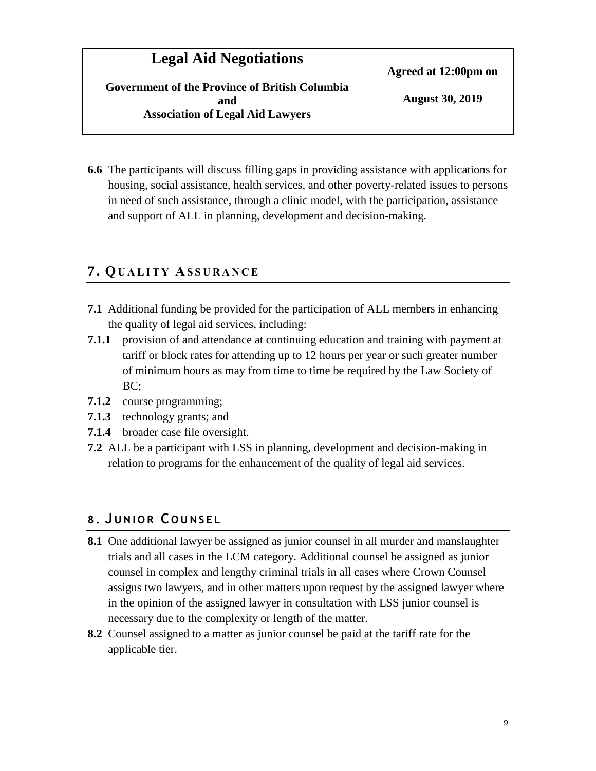**August 30, 2019**

**6.6** The participants will discuss filling gaps in providing assistance with applications for housing, social assistance, health services, and other poverty-related issues to persons in need of such assistance, through a clinic model, with the participation, assistance and support of ALL in planning, development and decision-making.

#### <span id="page-17-0"></span>**7 . QU A L I T Y AS S U R A N C E**

- **7.1** Additional funding be provided for the participation of ALL members in enhancing the quality of legal aid services, including:
- **7.1.1** provision of and attendance at continuing education and training with payment at tariff or block rates for attending up to 12 hours per year or such greater number of minimum hours as may from time to time be required by the Law Society of BC;
- **7.1.2** course programming;
- **7.1.3** technology grants; and
- **7.1.4** broader case file oversight.
- **7.2** ALL be a participant with LSS in planning, development and decision-making in relation to programs for the enhancement of the quality of legal aid services.

#### <span id="page-17-1"></span>**8 . J U N I O R C O U N S E L**

- **8.1** One additional lawyer be assigned as junior counsel in all murder and manslaughter trials and all cases in the LCM category. Additional counsel be assigned as junior counsel in complex and lengthy criminal trials in all cases where Crown Counsel assigns two lawyers, and in other matters upon request by the assigned lawyer where in the opinion of the assigned lawyer in consultation with LSS junior counsel is necessary due to the complexity or length of the matter.
- **8.2** Counsel assigned to a matter as junior counsel be paid at the tariff rate for the applicable tier.